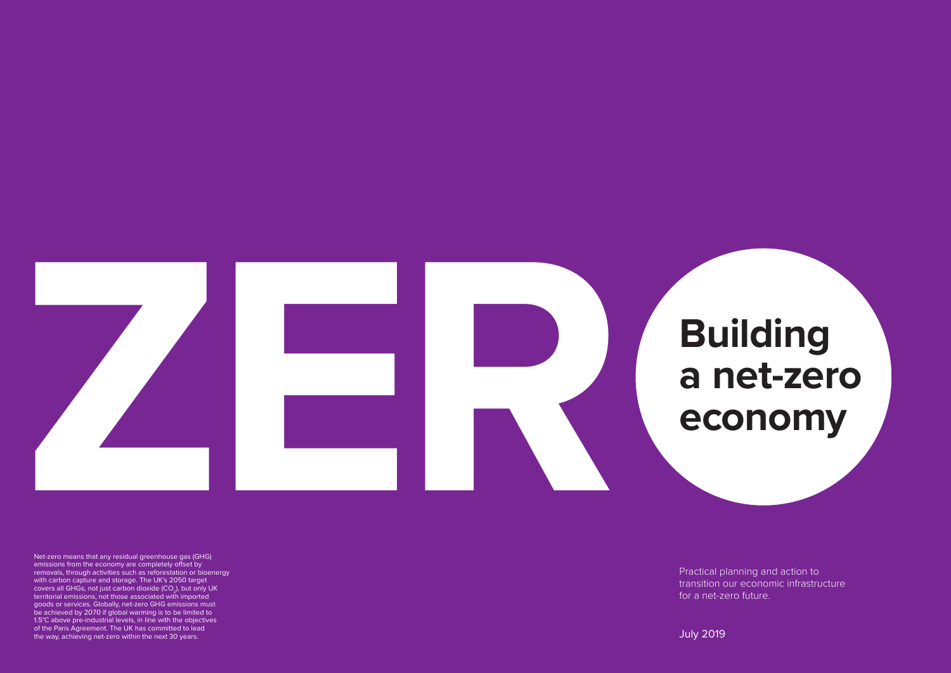

# **a net-zero economy**

Practical planning and action to transition our economic infrastructure for a net-zero future.

July 2019

Net-zero means that any residual greenhouse gas (GHG) emissions from the economy are completely offset by removals, through activities such as reforestation or bioenergy with carbon capture and storage. The UK's 2050 target covers all GHGs, not just carbon dioxide  $(CO<sub>2</sub>)$ , but only UK territorial emissions, not those associated with imported goods or services. Globally, net-zero GHG emissions must be achieved by 2070 if global warming is to be limited to 1.5°C above pre-industrial levels, in line with the objectives of the Paris Agreement. The UK has committed to lead the way, achieving net-zero within the next 30 years.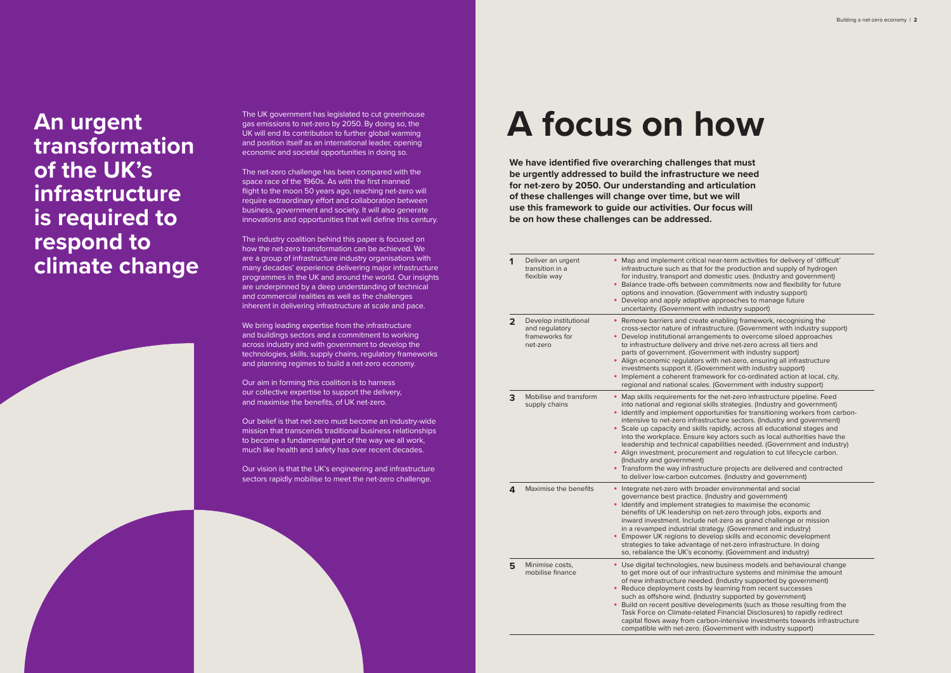The UK government has legislated to cut greenhouse gas emissions to net-zero by 2050. By doing so, the UK will end its contribution to further global warming and position itself as an international leader, opening economic and societal opportunities in doing so.

The net-zero challenge has been compared with the space race of the 1960s. As with the first manned flight to the moon 50 years ago, reaching net-zero will require extraordinary effort and collaboration between business, government and society. It will also generate innovations and opportunities that will define this century.

We bring leading expertise from the infrastructure and buildings sectors and a commitment to working across industry and with government to develop the technologies, skills, supply chains, regulatory frameworks and planning regimes to build a net-zero economy.

The industry coalition behind this paper is focused on how the net-zero transformation can be achieved. We are a group of infrastructure industry organisations with many decades' experience delivering major infrastructure programmes in the UK and around the world. Our insights are underpinned by a deep understanding of technical and commercial realities as well as the challenges inherent in delivering infrastructure at scale and pace.

### **An urgent transformation of the UK's infrastructure is required to respond to climate change**

Our aim in forming this coalition is to harness our collective expertise to support the delivery, and maximise the benefits, of UK net-zero.

Our belief is that net-zero must become an industry-wide mission that transcends traditional business relationships to become a fundamental part of the way we all work, much like health and safety has over recent decades.

Our vision is that the UK's engineering and infrastructure sectors rapidly mobilise to meet the net-zero challenge.

| 1 | Deliver an urgent<br>transition in a<br>flexible way                  | Map and implement critical nea<br>infrastructure such as that for tl<br>for industry, transport and dom<br>Balance trade-offs between co<br>options and innovation. (Gover<br>Develop and apply adaptive ap                                                                                                                                                                             |
|---|-----------------------------------------------------------------------|-----------------------------------------------------------------------------------------------------------------------------------------------------------------------------------------------------------------------------------------------------------------------------------------------------------------------------------------------------------------------------------------|
| 2 | Develop institutional<br>and regulatory<br>frameworks for<br>net-zero | uncertainty. (Government with i<br>Remove barriers and create en<br>cross-sector nature of infrastru-<br>• Develop institutional arrangem<br>to infrastructure delivery and d<br>parts of government. (Governm<br>Align economic regulators with<br>investments support it. (Goverr<br>Implement a coherent framewo<br>regional and national scales. (G                                 |
| З | Mobilise and transform<br>supply chains                               | Map skills requirements for the<br>into national and regional skills<br>Identify and implement opportu<br>intensive to net-zero infrastruct<br>Scale up capacity and skills rap<br>into the workplace. Ensure key<br>leadership and technical capab<br>Align investment, procurement<br>(Industry and government)<br>• Transform the way infrastructur<br>to deliver low-carbon outcome |
| 4 | Maximise the benefits                                                 | Integrate net-zero with broader<br>$\bullet$<br>governance best practice. (Indu<br>Identify and implement strategi<br>benefits of UK leadership on no<br>inward investment. Include net<br>in a revamped industrial strated<br>Empower UK regions to develo<br>strategies to take advantage of<br>so, rebalance the UK's econom                                                         |
| 5 | Minimise costs,<br>mobilise finance                                   | Use digital technologies, new b<br>to get more out of our infrastru<br>of new infrastructure needed. (<br>Reduce deployment costs by le<br>such as offshore wind. (Industr<br>Build on recent positive develo<br>Task Force on Climate-related<br>capital flows away from carbon<br>compatible with net-zero. (Gov                                                                      |

## **A focus on how**



ar-term activities for delivery of 'difficult' he production and supply of hydrogen restic uses. (Industry and government) mmitments now and flexibility for future mment with industry support) pproaches to manage future industry support)

abling framework, recognising the cture. (Government with industry support) ents to overcome siloed approaches rive net-zero across all tiers and nent with industry support) net-zero, ensuring all infrastructure iment with industry support) ork for co-ordinated action at local, city, Government with industry support)

net-zero infrastructure pipeline. Feed strategies. (Industry and government) unities for transitioning workers from carbonture sectors. (Industry and government) eridly, across all educational stages and actors such as local authorities have the lities needed. (Government and industry) and regulation to cut lifecycle carbon.

e projects are delivered and contracted s. (Industry and government)

**4** Anderson and social ustry and government) ies to maximise the economic et-zero through jobs, exports and -zero as grand challenge or mission gy. (Government and industry) op skills and economic development net-zero infrastructure. In doing y. (Government and industry)

business models and behavioural change icture systems and minimise the amount (Industry supported by government) earning from recent successes y supported by government) ppments (such as those resulting from the Financial Disclosures) to rapidly redirect i-intensive investments towards infrastructure ernment with industry support)

**We have identified five overarching challenges that must be urgently addressed to build the infrastructure we need for net-zero by 2050. Our understanding and articulation of these challenges will change over time, but we will use this framework to guide our activities. Our focus will be on how these challenges can be addressed.**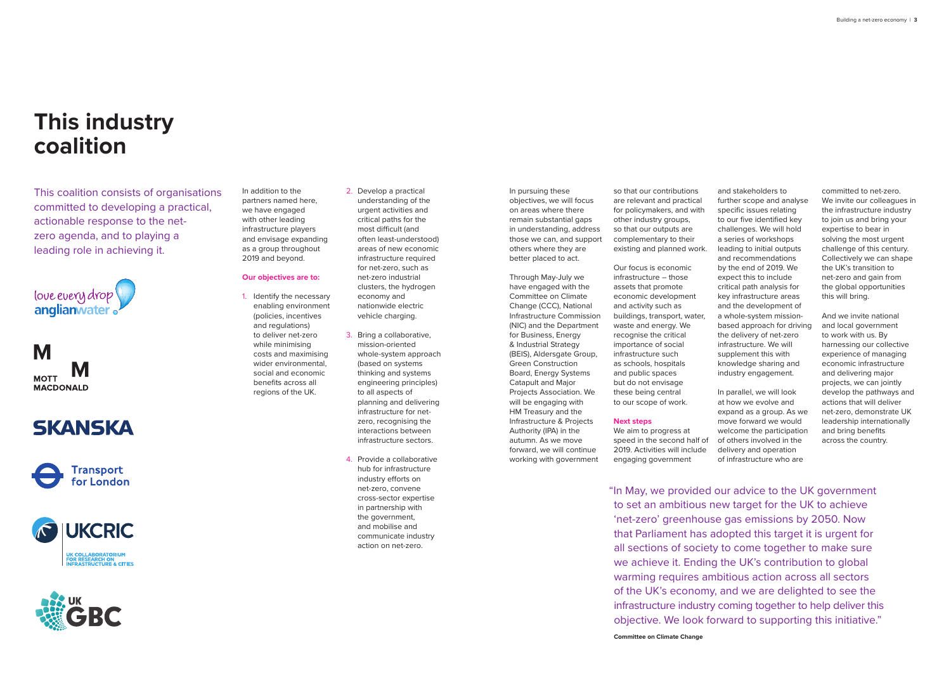This coalition consists of organisations committed to developing a practical, actionable response to the netzero agenda, and to playing a leading role in achieving it.



M M **MOTT MACDONALD** 

### **SKANSKA**







## **This industry coalition**

In addition to the partners named here, we have engaged with other leading infrastructure players and envisage expanding as a group throughout 2019 and beyond.

### **Our objectives are to:**

1. Identify the necessary enabling environment (policies, incentives and regulations) to deliver net-zero while minimising costs and maximising wider environmental, social and economic benefits across all regions of the UK.

2. Develop a practical understanding of the urgent activities and critical paths for the most difficult (and often least-understood) areas of new economic infrastructure required for net-zero, such as net-zero industrial clusters, the hydrogen economy and nationwide electric vehicle charging.

- 3. Bring a collaborative, mission-oriented whole-system approach (based on systems thinking and systems engineering principles) to all aspects of planning and delivering infrastructure for netzero, recognising the interactions between infrastructure sectors.
- 4. Provide a collaborative hub for infrastructure industry efforts on net-zero, convene cross-sector expertise in partnership with the government, and mobilise and communicate industry action on net-zero.

so that our contributions are relevant and practical for policymakers, and with other industry groups, so that our outputs are complementary to their existing and planned work.

Our focus is economic infrastructure – those assets that promote economic development and activity such as buildings, transport, water, waste and energy. We recognise the critical importance of social infrastructure such as schools, hospitals and public spaces but do not envisage these being central to our scope of work.

#### **Next steps**

We aim to progress at speed in the second half of 2019. Activities will include engaging government

In pursuing these objectives, we will focus on areas where there remain substantial gaps in understanding, address those we can, and support others where they are better placed to act.

Through May-July we have engaged with the Committee on Climate Change (CCC), National Infrastructure Commission (NIC) and the Department for Business, Energy & Industrial Strategy (BEIS), Aldersgate Group, Green Construction Board, Energy Systems Catapult and Major Projects Association. We will be engaging with HM Treasury and the Infrastructure & Projects Authority (IPA) in the autumn. As we move forward, we will continue working with government

> "In May, we provided our advice to the UK government to set an ambitious new target for the UK to achieve 'net-zero' greenhouse gas emissions by 2050. Now that Parliament has adopted this target it is urgent for all sections of society to come together to make sure we achieve it. Ending the UK's contribution to global warming requires ambitious action across all sectors of the UK's economy, and we are delighted to see the infrastructure industry coming together to help deliver this objective. We look forward to supporting this initiative."

and stakeholders to further scope and analyse specific issues relating to our five identified key challenges. We will hold a series of workshops leading to initial outputs and recommendations by the end of 2019. We expect this to include critical path analysis for key infrastructure areas and the development of a whole-system missionbased approach for driving the delivery of net-zero infrastructure. We will supplement this with knowledge sharing and industry engagement.

In parallel, we will look at how we evolve and expand as a group. As we move forward we would welcome the participation of others involved in the delivery and operation of infrastructure who are

committed to net-zero. We invite our colleagues in the infrastructure industry to join us and bring your expertise to bear in solving the most urgent challenge of this century. Collectively we can shape the UK's transition to net-zero and gain from the global opportunities this will bring.

And we invite national and local government to work with us. By harnessing our collective experience of managing economic infrastructure and delivering major projects, we can jointly develop the pathways and actions that will deliver net-zero, demonstrate UK leadership internationally and bring benefits across the country.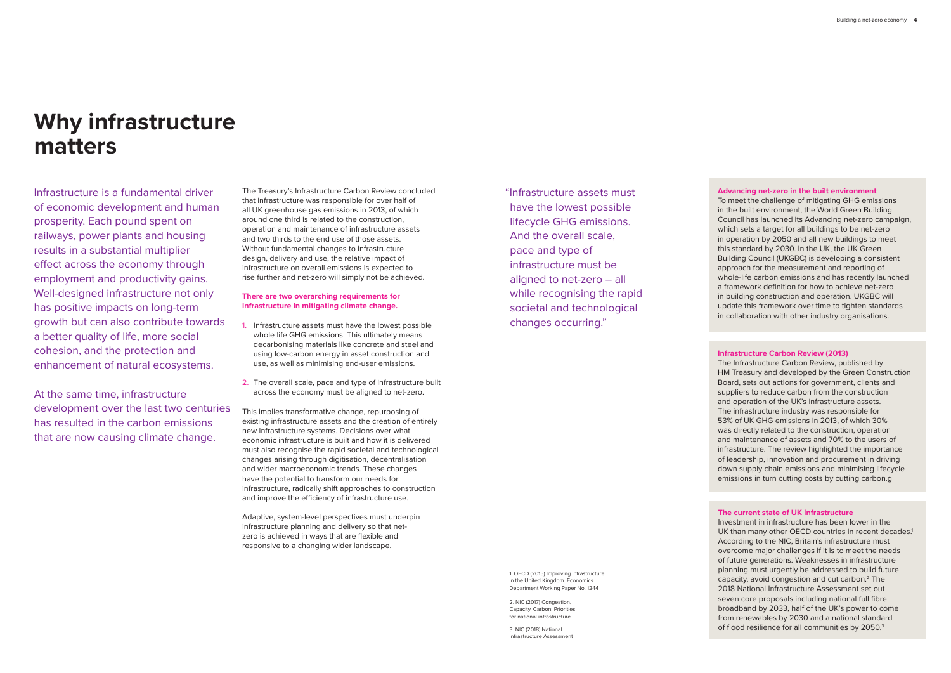Infrastructure is a fundamental driver of economic development and human prosperity. Each pound spent on railways, power plants and housing results in a substantial multiplier effect across the economy through employment and productivity gains. Well-designed infrastructure not only has positive impacts on long-term growth but can also contribute towards a better quality of life, more social cohesion, and the protection and enhancement of natural ecosystems.

At the same time, infrastructure development over the last two centuries has resulted in the carbon emissions that are now causing climate change.

### **Why infrastructure matters**

The Treasury's Infrastructure Carbon Review concluded that infrastructure was responsible for over half of all UK greenhouse gas emissions in 2013, of which around one third is related to the construction, operation and maintenance of infrastructure assets and two thirds to the end use of those assets. Without fundamental changes to infrastructure design, delivery and use, the relative impact of infrastructure on overall emissions is expected to rise further and net-zero will simply not be achieved.

### **There are two overarching requirements for infrastructure in mitigating climate change.**

- 1. Infrastructure assets must have the lowest possible whole life GHG emissions. This ultimately means decarbonising materials like concrete and steel and using low-carbon energy in asset construction and use, as well as minimising end-user emissions.
- 2. The overall scale, pace and type of infrastructure built across the economy must be aligned to net-zero.

Investment in infrastructure has been lower in the UK than many other OECD countries in recent decades.<sup>1</sup> According to the NIC, Britain's infrastructure must overcome major challenges if it is to meet the needs of future generations. Weaknesses in infrastructure planning must urgently be addressed to build future capacity, avoid congestion and cut carbon.2 The 2018 National Infrastructure Assessment set out seven core proposals including national full fibre broadband by 2033, half of the UK's power to come from renewables by 2030 and a national standard of flood resilience for all communities by 2050.<sup>3</sup>

This implies transformative change, repurposing of existing infrastructure assets and the creation of entirely new infrastructure systems. Decisions over what economic infrastructure is built and how it is delivered must also recognise the rapid societal and technological changes arising through digitisation, decentralisation and wider macroeconomic trends. These changes have the potential to transform our needs for infrastructure, radically shift approaches to construction and improve the efficiency of infrastructure use.

Adaptive, system-level perspectives must underpin infrastructure planning and delivery so that netzero is achieved in ways that are flexible and responsive to a changing wider landscape.

### **Infrastructure Carbon Review (2013)**

2. NIC (2017) Congestion Capacity, Carbon: Priorities for national infrastructure

The Infrastructure Carbon Review, published by HM Treasury and developed by the Green Construction Board, sets out actions for government, clients and suppliers to reduce carbon from the construction and operation of the UK's infrastructure assets. The infrastructure industry was responsible for 53% of UK GHG emissions in 2013, of which 30% was directly related to the construction, operation and maintenance of assets and 70% to the users of infrastructure. The review highlighted the importance of leadership, innovation and procurement in driving down supply chain emissions and minimising lifecycle emissions in turn cutting costs by cutting carbon.g

"Infrastructure assets must have the lowest possible lifecycle GHG emissions. And the overall scale, pace and type of infrastructure must be aligned to net-zero – all while recognising the rapid societal and technological changes occurring."

### **The current state of UK infrastructure**

### **Advancing net-zero in the built environment**

To meet the challenge of mitigating GHG emissions in the built environment, the World Green Building Council has launched its Advancing net-zero campaign, which sets a target for all buildings to be net-zero in operation by 2050 and all new buildings to meet this standard by 2030. In the UK, the UK Green Building Council (UKGBC) is developing a consistent approach for the measurement and reporting of whole-life carbon emissions and has recently launched a framework definition for how to achieve net-zero in building construction and operation. UKGBC will update this framework over time to tighten standards in collaboration with other industry organisations.

1. OECD (2015) Improving infrastructure in the United Kingdom. Economics Department Working Paper No. 1244

3. NIC (2018) National Infrastructure Assessment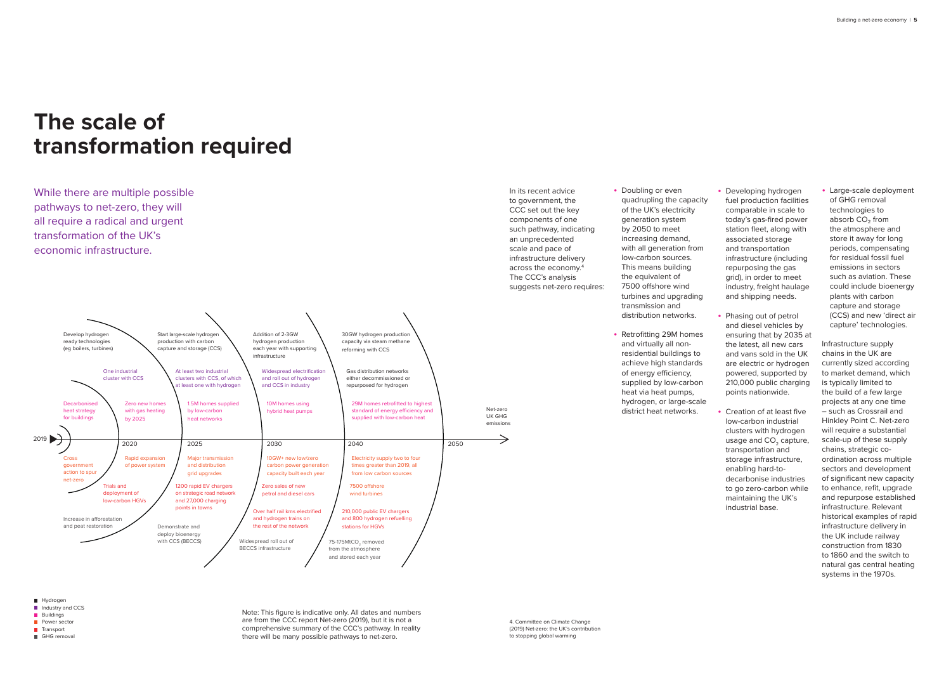While there are multiple possible pathways to net-zero, they will all require a radical and urgent transformation of the UK's economic infrastructure.

### **The scale of transformation required**

In its recent advice to government, the CCC set out the key components of one such pathway, indicating an unprecedented scale and pace of infrastructure delivery across the economy.4 The CCC's analysis suggests net-zero requires:

Note: This figure is indicative only. All dates and numbers are from the CCC report Net-zero (2019), but it is not a comprehensive summary of the CCC's pathway. In reality there will be many possible pathways to net-zero.

- Doubling or even quadrupling the capacity of the UK's electricity generation system by 2050 to meet increasing demand, with all generation from low-carbon sources. This means building the equivalent of 7500 offshore wind turbines and upgrading transmission and distribution networks.
- Retrofitting 29M homes and virtually all nonresidential buildings to achieve high standards of energy efficiency, supplied by low-carbon heat via heat pumps, hydrogen, or large-scale district heat networks.

Hydrogen Industry and CCS **Buildings Power sector T** Transport GHG removal

- Developing hydrogen fuel production facilities comparable in scale to today's gas-fired power station fleet, along with associated storage and transportation infrastructure (including repurposing the gas grid), in order to meet industry, freight haulage and shipping needs.
- Phasing out of petrol and diesel vehicles by ensuring that by 2035 at the latest, all new cars and vans sold in the UK are electric or hydrogen powered, supported by 210,000 public charging points nationwide.
- Creation of at least five low-carbon industrial clusters with hydrogen usage and CO<sub>2</sub> capture, transportation and storage infrastructure, enabling hard-todecarbonise industries to go zero-carbon while maintaining the UK's industrial base.

• Large-scale deployment of GHG removal technologies to absorb CO₂ from the atmosphere and store it away for long periods, compensating for residual fossil fuel emissions in sectors such as aviation. These could include bioenergy plants with carbon capture and storage (CCS) and new 'direct air capture' technologies.

Infrastructure supply chains in the UK are currently sized according to market demand, which is typically limited to the build of a few large projects at any one time – such as Crossrail and Hinkley Point C. Net-zero will require a substantial scale-up of these supply chains, strategic coordination across multiple sectors and development of significant new capacity to enhance, refit, upgrade and repurpose established infrastructure. Relevant historical examples of rapid infrastructure delivery in the UK include railway construction from 1830 to 1860 and the switch to natural gas central heating systems in the 1970s.



4. Committee on Climate Change (2019) Net-zero: the UK's contribution to stopping global warming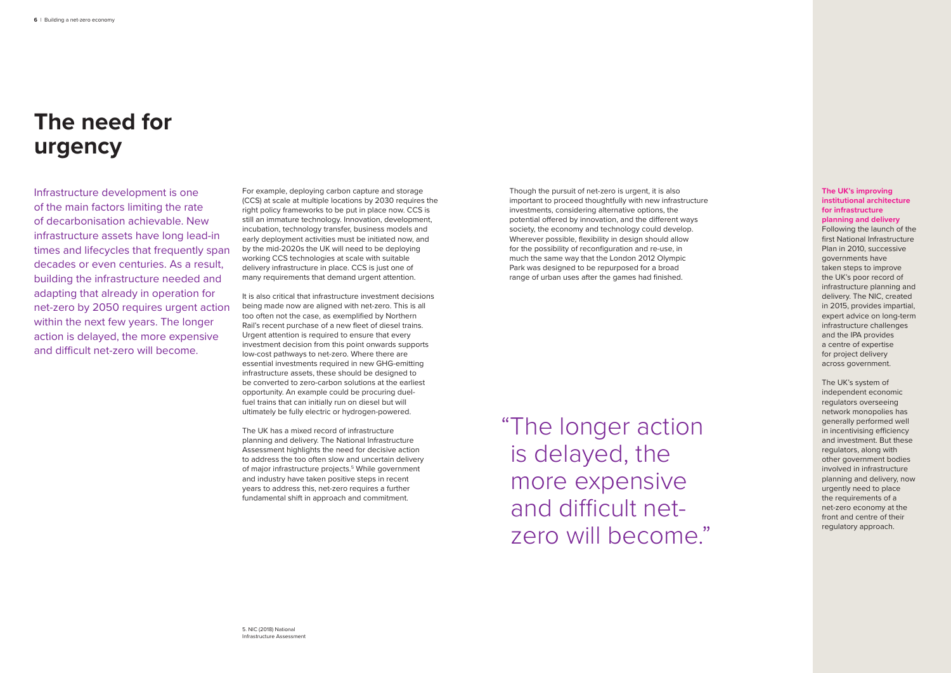### **The need for urgency**

Infrastructure development is one of the main factors limiting the rate of decarbonisation achievable. New infrastructure assets have long lead-in times and lifecycles that frequently span decades or even centuries. As a result, building the infrastructure needed and adapting that already in operation for net-zero by 2050 requires urgent action within the next few years. The longer action is delayed, the more expensive and difficult net-zero will become.

### **The UK's improving institutional architecture for infrastructure planning and delivery**

Following the launch of the first National Infrastructure Plan in 2010, successive governments have taken steps to improve the UK's poor record of infrastructure planning and delivery. The NIC, created in 2015, provides impartial, expert advice on long-term infrastructure challenges and the IPA provides a centre of expertise for project delivery across government.

The UK's system of independent economic regulators overseeing network monopolies has generally performed well in incentivising efficiency and investment. But these regulators, along with other government bodies involved in infrastructure planning and delivery, now urgently need to place the requirements of a net-zero economy at the front and centre of their regulatory approach.

For example, deploying carbon capture and storage (CCS) at scale at multiple locations by 2030 requires the right policy frameworks to be put in place now. CCS is still an immature technology. Innovation, development, incubation, technology transfer, business models and early deployment activities must be initiated now, and by the mid-2020s the UK will need to be deploying working CCS technologies at scale with suitable delivery infrastructure in place. CCS is just one of many requirements that demand urgent attention.

It is also critical that infrastructure investment decisions being made now are aligned with net-zero. This is all too often not the case, as exemplified by Northern Rail's recent purchase of a new fleet of diesel trains. Urgent attention is required to ensure that every investment decision from this point onwards supports low-cost pathways to net-zero. Where there are essential investments required in new GHG-emitting infrastructure assets, these should be designed to be converted to zero-carbon solutions at the earliest opportunity. An example could be procuring duelfuel trains that can initially run on diesel but will ultimately be fully electric or hydrogen-powered.

The UK has a mixed record of infrastructure planning and delivery. The National Infrastructure Assessment highlights the need for decisive action to address the too often slow and uncertain delivery of major infrastructure projects.<sup>5</sup> While government and industry have taken positive steps in recent years to address this, net-zero requires a further fundamental shift in approach and commitment.

"The longer action is delayed, the more expensive and difficult netzero will become."

Though the pursuit of net-zero is urgent, it is also important to proceed thoughtfully with new infrastructure investments, considering alternative options, the potential offered by innovation, and the different ways society, the economy and technology could develop. Wherever possible, flexibility in design should allow for the possibility of reconfiguration and re-use, in much the same way that the London 2012 Olympic Park was designed to be repurposed for a broad range of urban uses after the games had finished.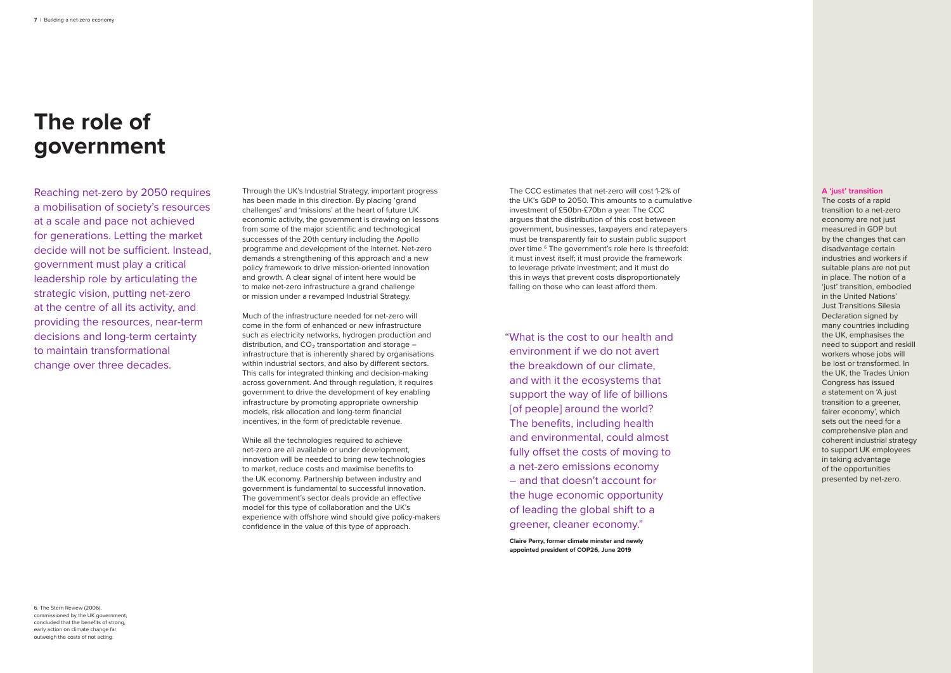### **The role of government**

Reaching net-zero by 2050 requires a mobilisation of society's resources at a scale and pace not achieved for generations. Letting the market decide will not be sufficient. Instead, government must play a critical leadership role by articulating the strategic vision, putting net-zero at the centre of all its activity, and providing the resources, near-term decisions and long-term certainty to maintain transformational change over three decades.

#### **A 'just' transition**

The costs of a rapid transition to a net-zero economy are not just measured in GDP but by the changes that can disadvantage certain industries and workers if suitable plans are not put in place. The notion of a 'just' transition, embodied in the United Nations' Just Transitions Silesia Declaration signed by many countries including the UK, emphasises the need to support and reskill workers whose jobs will be lost or transformed. In the UK, the Trades Union Congress has issued a statement on 'A just transition to a greener, fairer economy', which sets out the need for a comprehensive plan and coherent industrial strategy to support UK employees in taking advantage of the opportunities presented by net-zero.

Through the UK's Industrial Strategy, important progress has been made in this direction. By placing 'grand challenges' and 'missions' at the heart of future UK economic activity, the government is drawing on lessons from some of the major scientific and technological successes of the 20th century including the Apollo programme and development of the internet. Net-zero demands a strengthening of this approach and a new policy framework to drive mission-oriented innovation and growth. A clear signal of intent here would be to make net-zero infrastructure a grand challenge or mission under a revamped Industrial Strategy.

Much of the infrastructure needed for net-zero will come in the form of enhanced or new infrastructure such as electricity networks, hydrogen production and distribution, and  $CO<sub>2</sub>$  transportation and storage – infrastructure that is inherently shared by organisations within industrial sectors, and also by different sectors. This calls for integrated thinking and decision-making across government. And through regulation, it requires government to drive the development of key enabling infrastructure by promoting appropriate ownership models, risk allocation and long-term financial incentives, in the form of predictable revenue.

While all the technologies required to achieve net-zero are all available or under development, innovation will be needed to bring new technologies to market, reduce costs and maximise benefits to the UK economy. Partnership between industry and government is fundamental to successful innovation. The government's sector deals provide an effective model for this type of collaboration and the UK's experience with offshore wind should give policy-makers confidence in the value of this type of approach.

6. The Stern Review (2006), commissioned by the UK government concluded that the benefits of strong, early action on climate change far outweigh the costs of not acting.

"What is the cost to our health and environment if we do not avert the breakdown of our climate, and with it the ecosystems that support the way of life of billions [of people] around the world? The benefits, including health and environmental, could almost fully offset the costs of moving to a net-zero emissions economy – and that doesn't account for the huge economic opportunity of leading the global shift to a greener, cleaner economy."

The CCC estimates that net-zero will cost 1-2% of the UK's GDP to 2050. This amounts to a cumulative investment of £50bn-£70bn a year. The CCC argues that the distribution of this cost between government, businesses, taxpayers and ratepayers must be transparently fair to sustain public support over time.<sup>6</sup> The government's role here is threefold: it must invest itself; it must provide the framework to leverage private investment; and it must do this in ways that prevent costs disproportionately falling on those who can least afford them.

**Claire Perry, former climate minster and newly appointed president of COP26, June 2019**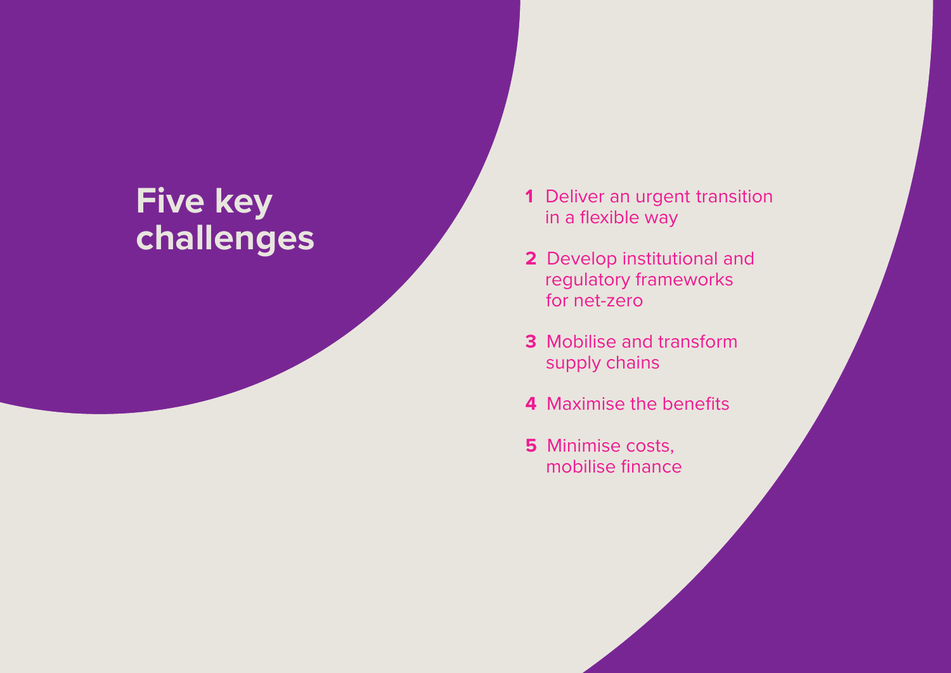**15** I Mott MacDonald I Building a net-zero economy Building a net-zero economy I Mott MacDonald I **16**

## **Five key challenges**

**1**  Deliver an urgent transition in a flexible way

- **2** Develop institutional and regulatory frameworks for net-zero
- **3** Mobilise and transform supply chains
- **4** Maximise the benefits
- **5** Minimise costs, mobilise finance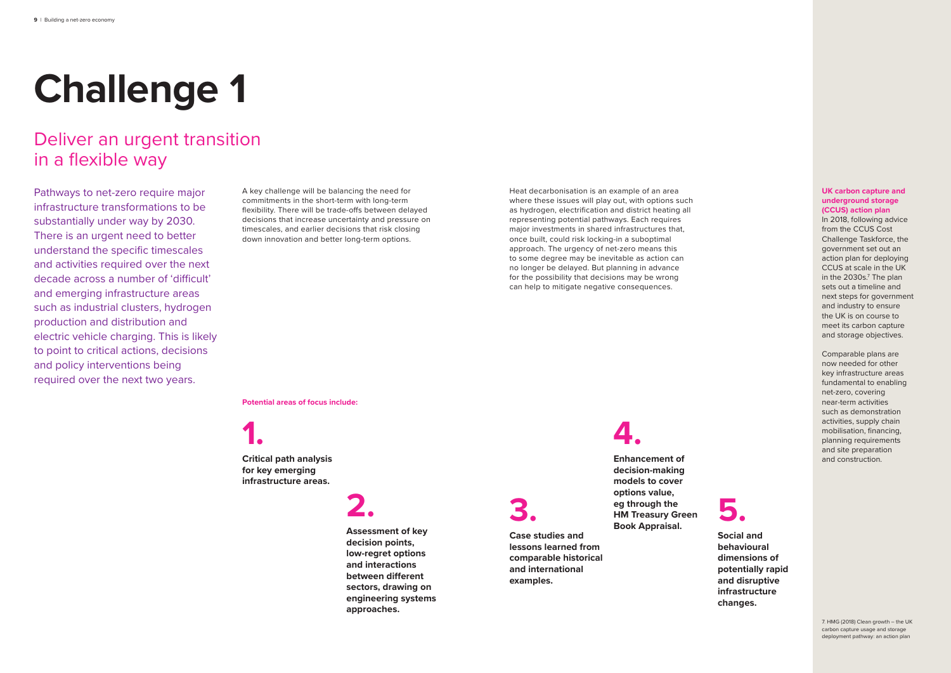### Deliver an urgent transition in a flexible way

### **UK carbon capture and underground storage**

**(CCUS) action plan**  In 2018, following advice from the CCUS Cost Challenge Taskforce, the government set out an action plan for deploying CCUS at scale in the UK in the 2030s.<sup>7</sup> The plan sets out a timeline and next steps for government and industry to ensure the UK is on course to meet its carbon capture and storage objectives.

Comparable plans are now needed for other key infrastructure areas fundamental to enabling net-zero, covering near-term activities such as demonstration activities, supply chain mobilisation, financing, planning requirements and site preparation and construction.

## **Challenge 1**

Pathways to net-zero require major infrastructure transformations to be substantially under way by 2030. There is an urgent need to better understand the specific timescales and activities required over the next decade across a number of 'difficult' and emerging infrastructure areas such as industrial clusters, hydrogen production and distribution and electric vehicle charging. This is likely to point to critical actions, decisions and policy interventions being required over the next two years.



**Social and behavioural dimensions of potentially rapid and disruptive infrastructure changes.**

**3.**

**Case studies and lessons learned from comparable historical and international examples.**

## **4.**

**Enhancement of decision-making models to cover options value, eg through the HM Treasury Green Book Appraisal.**

**1.**

**Critical path analysis for key emerging infrastructure areas.**

**2.**

**Assessment of key decision points, low-regret options and interactions between different sectors, drawing on engineering systems approaches.**

**Potential areas of focus include:** 

A key challenge will be balancing the need for commitments in the short-term with long-term flexibility. There will be trade-offs between delayed decisions that increase uncertainty and pressure on timescales, and earlier decisions that risk closing down innovation and better long-term options.

Heat decarbonisation is an example of an area where these issues will play out, with options such as hydrogen, electrification and district heating all representing potential pathways. Each requires major investments in shared infrastructures that, once built, could risk locking-in a suboptimal approach. The urgency of net-zero means this to some degree may be inevitable as action can no longer be delayed. But planning in advance for the possibility that decisions may be wrong can help to mitigate negative consequences.

> 7. HMG (2018) Clean growth – the UK carbon capture usage and storage deployment pathway: an action plan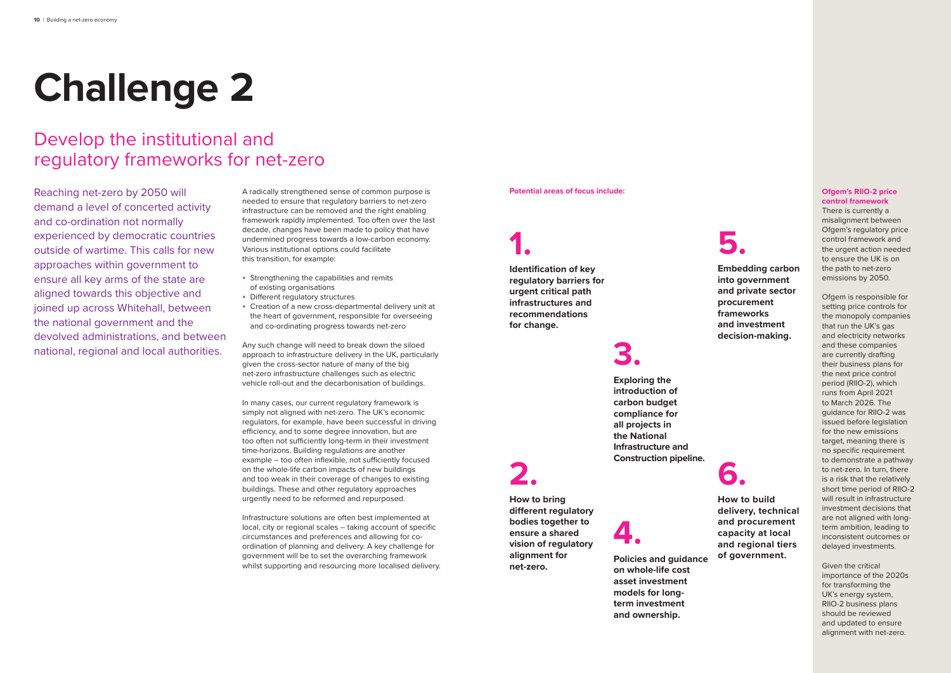### Develop the institutional and regulatory frameworks for net-zero

Reaching net-zero by 2050 will demand a level of concerted activity and co-ordination not normally experienced by democratic countries outside of wartime. This calls for new approaches within government to ensure all key arms of the state are aligned towards this objective and joined up across Whitehall, between the national government and the devolved administrations, and between national, regional and local authorities.

## **Challenge 2**

### **Ofgem's RIIO-2 price control framework**

There is currently a misalignment between Ofgem's regulatory price control framework and the urgent action needed to ensure the UK is on the path to net-zero emissions by 2050.

Ofgem is responsible for setting price controls for the monopoly companies that run the UK's gas and electricity networks and these companies are currently drafting their business plans for the next price control period (RIIO-2), which runs from April 2021 to March 2026. The guidance for RIIO-2 was issued before legislation for the new emissions target, meaning there is no specific requirement to demonstrate a pathway to net-zero. In turn, there is a risk that the relatively short time period of RIIO-2 will result in infrastructure investment decisions that are not aligned with longterm ambition, leading to inconsistent outcomes or delayed investments.

- Strengthening the capabilities and remits of existing organisations
- Different regulatory structures
- Creation of a new cross-departmental delivery unit at the heart of government, responsible for overseeing and co-ordinating progress towards net-zero

Given the critical importance of the 2020s for transforming the UK's energy system, RIIO-2 business plans should be reviewed and updated to ensure alignment with net-zero.

A radically strengthened sense of common purpose is needed to ensure that regulatory barriers to net-zero infrastructure can be removed and the right enabling framework rapidly implemented. Too often over the last decade, changes have been made to policy that have undermined progress towards a low-carbon economy. Various institutional options could facilitate this transition, for example:

Any such change will need to break down the siloed approach to infrastructure delivery in the UK, particularly given the cross-sector nature of many of the big net-zero infrastructure challenges such as electric vehicle roll-out and the decarbonisation of buildings.

In many cases, our current regulatory framework is simply not aligned with net-zero. The UK's economic regulators, for example, have been successful in driving efficiency, and to some degree innovation, but are too often not sufficiently long-term in their investment time-horizons. Building regulations are another example – too often inflexible, not sufficiently focused on the whole-life carbon impacts of new buildings and too weak in their coverage of changes to existing buildings. These and other regulatory approaches urgently need to be reformed and repurposed.

Infrastructure solutions are often best implemented at local, city or regional scales – taking account of specific circumstances and preferences and allowing for coordination of planning and delivery. A key challenge for government will be to set the overarching framework whilst supporting and resourcing more localised delivery.

#### **Potential areas of focus include:**



**Embedding carbon into government and private sector procurement frameworks and investment decision-making.**

**3.**

**Exploring the introduction of carbon budget compliance for all projects in the National Infrastructure and Construction pipeline.**

**4.**

# **Policies and guidance**

**on whole-life cost asset investment models for longterm investment and ownership.**

## **1.**

**Identification of key regulatory barriers for urgent critical path infrastructures and recommendations for change.** 

## **2.**

**How to bring different regulatory bodies together to ensure a shared vision of regulatory alignment for net-zero.**



**How to build delivery, technical and procurement capacity at local and regional tiers of government.**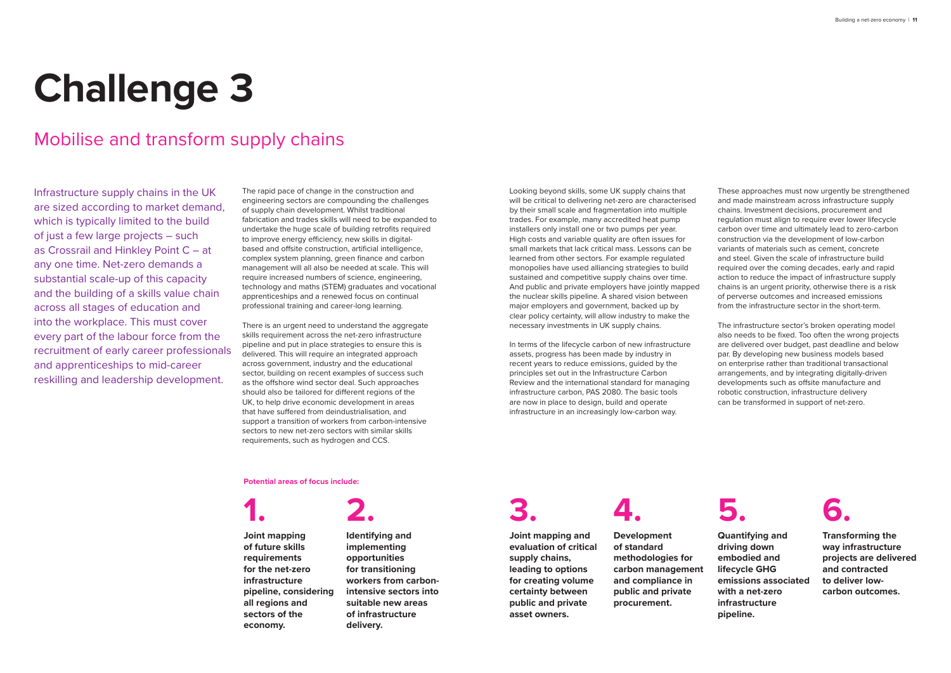### Mobilise and transform supply chains

Infrastructure supply chains in the UK are sized according to market demand, which is typically limited to the build of just a few large projects – such as Crossrail and Hinkley Point C – at any one time. Net-zero demands a substantial scale-up of this capacity and the building of a skills value chain across all stages of education and into the workplace. This must cover every part of the labour force from the recruitment of early career professionals and apprenticeships to mid-career reskilling and leadership development.

The rapid pace of change in the construction and engineering sectors are compounding the challenges of supply chain development. Whilst traditional fabrication and trades skills will need to be expanded to undertake the huge scale of building retrofits required to improve energy efficiency, new skills in digitalbased and offsite construction, artificial intelligence, complex system planning, green finance and carbon management will all also be needed at scale. This will require increased numbers of science, engineering, technology and maths (STEM) graduates and vocational apprenticeships and a renewed focus on continual professional training and career-long learning.

There is an urgent need to understand the aggregate skills requirement across the net-zero infrastructure pipeline and put in place strategies to ensure this is delivered. This will require an integrated approach across government, industry and the educational sector, building on recent examples of success such as the offshore wind sector deal. Such approaches should also be tailored for different regions of the UK, to help drive economic development in areas that have suffered from deindustrialisation, and support a transition of workers from carbon-intensive sectors to new net-zero sectors with similar skills requirements, such as hydrogen and CCS.

## **Challenge 3**

**3. Joint mapping and evaluation of critical supply chains, leading to options for creating volume certainty between public and private asset owners.**

**2. Identifying and implementing opportunities for transitioning workers from carbonintensive sectors into suitable new areas of infrastructure delivery.**

**1.**

**Joint mapping of future skills requirements for the net-zero infrastructure pipeline, considering all regions and sectors of the economy.**

**Potential areas of focus include:** 

Looking beyond skills, some UK supply chains that will be critical to delivering net-zero are characterised by their small scale and fragmentation into multiple trades. For example, many accredited heat pump installers only install one or two pumps per year. High costs and variable quality are often issues for small markets that lack critical mass. Lessons can be learned from other sectors. For example regulated monopolies have used alliancing strategies to build sustained and competitive supply chains over time. And public and private employers have jointly mapped the nuclear skills pipeline. A shared vision between major employers and government, backed up by clear policy certainty, will allow industry to make the necessary investments in UK supply chains.

In terms of the lifecycle carbon of new infrastructure assets, progress has been made by industry in recent years to reduce emissions, guided by the principles set out in the Infrastructure Carbon Review and the international standard for managing infrastructure carbon, PAS 2080. The basic tools are now in place to design, build and operate infrastructure in an increasingly low-carbon way.

These approaches must now urgently be strengthened and made mainstream across infrastructure supply chains. Investment decisions, procurement and regulation must align to require ever lower lifecycle carbon over time and ultimately lead to zero-carbon construction via the development of low-carbon variants of materials such as cement, concrete and steel. Given the scale of infrastructure build required over the coming decades, early and rapid action to reduce the impact of infrastructure supply chains is an urgent priority, otherwise there is a risk of perverse outcomes and increased emissions from the infrastructure sector in the short-term.

The infrastructure sector's broken operating model also needs to be fixed. Too often the wrong projects are delivered over budget, past deadline and below par. By developing new business models based on enterprise rather than traditional transactional arrangements, and by integrating digitally-driven developments such as offsite manufacture and robotic construction, infrastructure delivery can be transformed in support of net-zero.

**4.**

**Development of standard methodologies for carbon management and compliance in public and private procurement.**



**Transforming the way infrastructure projects are delivered and contracted to deliver lowcarbon outcomes.**

## **5.**

**Quantifying and driving down embodied and lifecycle GHG emissions associated with a net-zero infrastructure pipeline.**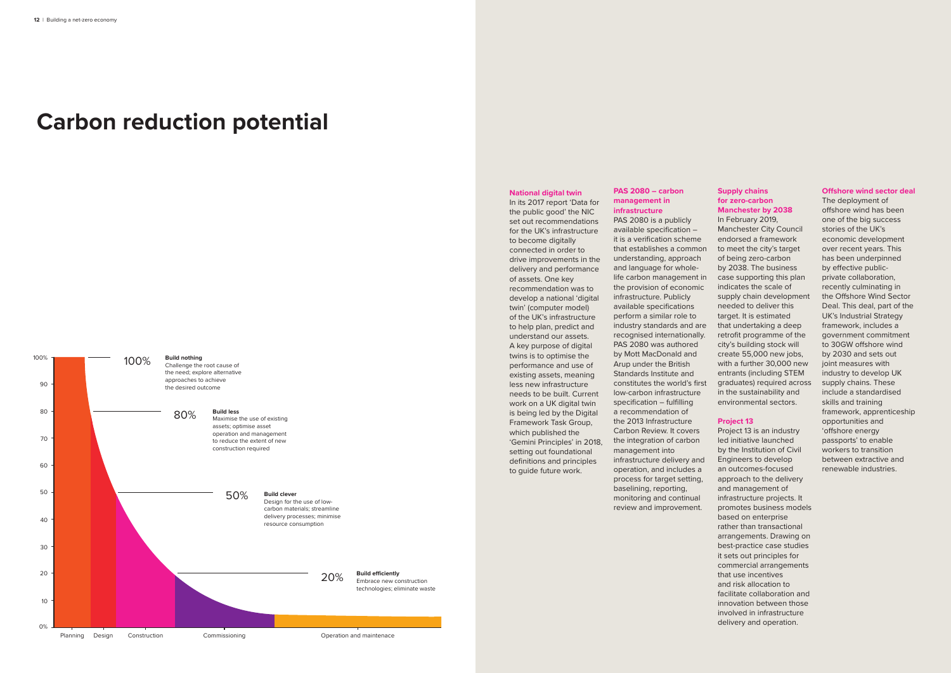

### **Carbon reduction potential**

### **Supply chains for zero-carbon Manchester by 2038**

In February 2019, Manchester City Council endorsed a framework to meet the city's target of being zero-carbon by 2038. The business case supporting this plan indicates the scale of supply chain development needed to deliver this target. It is estimated that undertaking a deep retrofit programme of the city's building stock will create 55,000 new jobs, with a further 30,000 new entrants (including STEM graduates) required across in the sustainability and environmental sectors.

### **Project 13**

Project 13 is an industry led initiative launched by the Institution of Civil Engineers to develop an outcomes-focused approach to the delivery and management of infrastructure projects. It promotes business models based on enterprise rather than transactional arrangements. Drawing on best-practice case studies it sets out principles for commercial arrangements that use incentives and risk allocation to facilitate collaboration and innovation between those involved in infrastructure delivery and operation.

In its 2017 report 'Data for the public good' the NIC set out recommendations for the UK's infrastructure to become digitally connected in order to drive improvements in the delivery and performance of assets. One key recommendation was to develop a national 'digital twin' (computer model) of the UK's infrastructure to help plan, predict and understand our assets. A key purpose of digital twins is to optimise the performance and use of existing assets, meaning less new infrastructure needs to be built. Current work on a UK digital twin is being led by the Digital Framework Task Group, which published the 'Gemini Principles' in 2018, setting out foundational definitions and principles to quide future work.

### **PAS 2080 – carbon management in infrastructure**

PAS 2080 is a publicly available specification – it is a verification scheme that establishes a common understanding, approach and language for wholelife carbon management in the provision of economic infrastructure. Publicly available specifications perform a similar role to industry standards and are recognised internationally. PAS 2080 was authored by Mott MacDonald and Arup under the British Standards Institute and constitutes the world's first low-carbon infrastructure specification – fulfilling a recommendation of the 2013 Infrastructure Carbon Review. It covers the integration of carbon management into infrastructure delivery and operation, and includes a process for target setting, baselining, reporting, monitoring and continual review and improvement.

#### **Offshore wind sector deal**

The deployment of offshore wind has been one of the big success stories of the UK's economic development over recent years. This has been underpinned by effective publicprivate collaboration, recently culminating in the Offshore Wind Sector Deal. This deal, part of the UK's Industrial Strategy framework, includes a government commitment to 30GW offshore wind by 2030 and sets out joint measures with industry to develop UK supply chains. These include a standardised skills and training framework, apprenticeship opportunities and 'offshore energy passports' to enable workers to transition between extractive and renewable industries.

**National digital twin**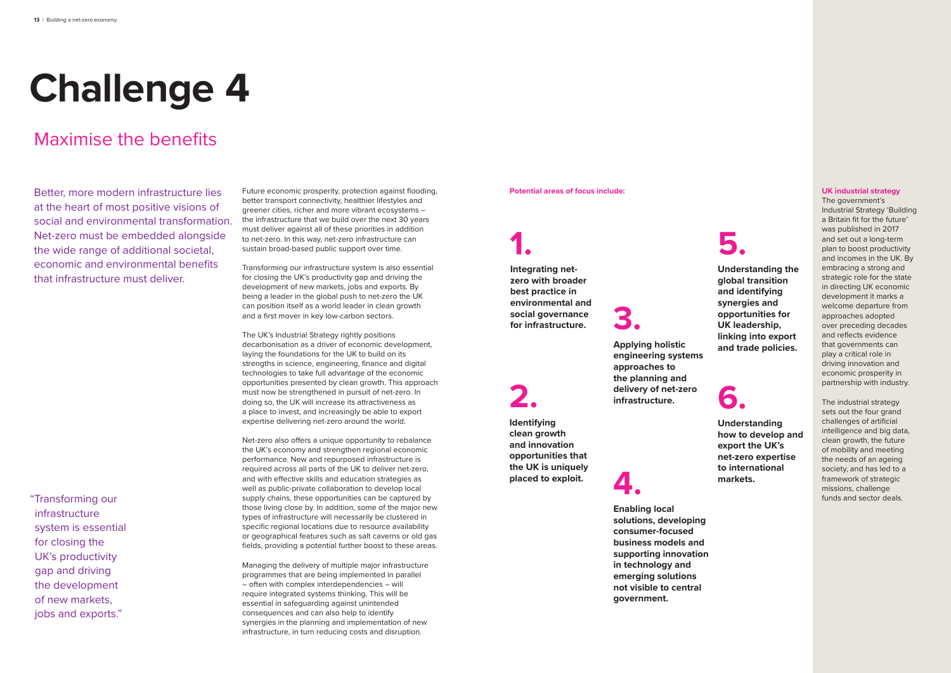### Maximise the benefits

## **Challenge 4**

Better, more modern infrastructure lies at the heart of most positive visions of social and environmental transformation. Net-zero must be embedded alongside the wide range of additional societal, economic and environmental benefits that infrastructure must deliver.

Future economic prosperity, protection against flooding, better transport connectivity, healthier lifestyles and greener cities, richer and more vibrant ecosystems – the infrastructure that we build over the next 30 years must deliver against all of these priorities in addition to net-zero. In this way, net-zero infrastructure can sustain broad-based public support over time.

Transforming our infrastructure system is also essential for closing the UK's productivity gap and driving the development of new markets, jobs and exports. By being a leader in the global push to net-zero the UK can position itself as a world leader in clean growth and a first mover in key low-carbon sectors.

The UK's Industrial Strategy rightly positions decarbonisation as a driver of economic development, laying the foundations for the UK to build on its strengths in science, engineering, finance and digital technologies to take full advantage of the economic opportunities presented by clean growth. This approach must now be strengthened in pursuit of net-zero. In doing so, the UK will increase its attractiveness as a place to invest, and increasingly be able to export expertise delivering net-zero around the world.

Net-zero also offers a unique opportunity to rebalance the UK's economy and strengthen regional economic performance. New and repurposed infrastructure is required across all parts of the UK to deliver net-zero, and with effective skills and education strategies as well as public-private collaboration to develop local supply chains, these opportunities can be captured by those living close by. In addition, some of the major new types of infrastructure will necessarily be clustered in specific regional locations due to resource availability or geographical features such as salt caverns or old gas fields, providing a potential further boost to these areas.

Managing the delivery of multiple major infrastructure programmes that are being implemented in parallel – often with complex interdependencies – will require integrated systems thinking. This will be essential in safeguarding against unintended consequences and can also help to identify synergies in the planning and implementation of new infrastructure, in turn reducing costs and disruption.

"Transforming our infrastructure system is essential for closing the UK's productivity gap and driving the development of new markets, jobs and exports."

#### **UK industrial strategy**

The government's Industrial Strategy 'Building a Britain fit for the future' was published in 2017 and set out a long-term plan to boost productivity and incomes in the UK. By embracing a strong and strategic role for the state in directing UK economic development it marks a welcome departure from approaches adopted over preceding decades and reflects evidence that governments can play a critical role in driving innovation and economic prosperity in partnership with industry.

The industrial strategy sets out the four grand challenges of artificial intelligence and big data, clean growth, the future of mobility and meeting the needs of an ageing society, and has led to a framework of strategic missions, challenge funds and sector deals.

#### **Potential areas of focus include:**

**2.**

**Identifying** 

**clean growth and innovation opportunities that the UK is uniquely placed to exploit.**

## **1.**

**Integrating netzero with broader best practice in environmental and social governance for infrastructure. 3.**

**Applying holistic engineering systems approaches to the planning and delivery of net-zero infrastructure.**

**4. Enabling local solutions, developing consumer-focused business models and supporting innovation in technology and emerging solutions not visible to central government.**



**Understanding the global transition and identifying synergies and opportunities for UK leadership, linking into export and trade policies.**



**Understanding how to develop and export the UK's net-zero expertise to international markets.**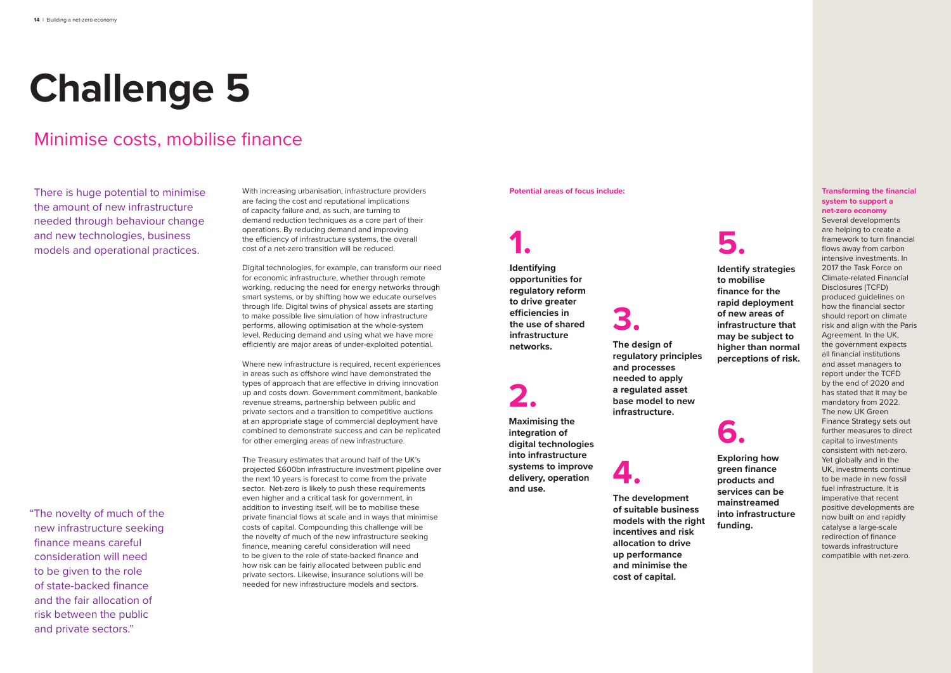### Minimise costs, mobilise finance

## **Challenge 5**

There is huge potential to minimise the amount of new infrastructure needed through behaviour change and new technologies, business models and operational practices.

With increasing urbanisation, infrastructure providers are facing the cost and reputational implications of capacity failure and, as such, are turning to demand reduction techniques as a core part of their operations. By reducing demand and improving the efficiency of infrastructure systems, the overall cost of a net-zero transition will be reduced.

Digital technologies, for example, can transform our need for economic infrastructure, whether through remote working, reducing the need for energy networks through smart systems, or by shifting how we educate ourselves through life. Digital twins of physical assets are starting to make possible live simulation of how infrastructure performs, allowing optimisation at the whole-system level. Reducing demand and using what we have more efficiently are major areas of under-exploited potential.

Where new infrastructure is required, recent experiences in areas such as offshore wind have demonstrated the types of approach that are effective in driving innovation up and costs down. Government commitment, bankable revenue streams, partnership between public and private sectors and a transition to competitive auctions at an appropriate stage of commercial deployment have combined to demonstrate success and can be replicated for other emerging areas of new infrastructure.

The Treasury estimates that around half of the UK's projected £600bn infrastructure investment pipeline over the next 10 years is forecast to come from the private sector. Net-zero is likely to push these requirements even higher and a critical task for government, in addition to investing itself, will be to mobilise these private financial flows at scale and in ways that minimise costs of capital. Compounding this challenge will be the novelty of much of the new infrastructure seeking finance, meaning careful consideration will need to be given to the role of state-backed finance and how risk can be fairly allocated between public and private sectors. Likewise, insurance solutions will be needed for new infrastructure models and sectors.

"The novelty of much of the new infrastructure seeking finance means careful consideration will need to be given to the role of state-backed finance and the fair allocation of risk between the public and private sectors."

**Potential areas of focus include:** 

**3.**

**The design of regulatory principles and processes needed to apply a** regulated asset<br> **base model to new**<br>
infrastructure. **infrastructure.**

**Maximising the integration of digital technologies into infrastructure systems to improve delivery, operation and use.**

## **1.**

**Identifying opportunities for regulatory reform to drive greater efficiencies in the use of shared infrastructure networks.**

**4.**

**The development of suitable business models with the right incentives and risk allocation to drive up performance and minimise the cost of capital.**



**Identify strategies to mobilise finance for the rapid deployment of new areas of infrastructure that may be subject to higher than normal perceptions of risk.**

### **Transforming the financial system to support a net-zero economy**

Several developments are helping to create a framework to turn financial flows away from carbon intensive investments. In 2017 the Task Force on Climate-related Financial Disclosures (TCFD) produced guidelines on how the financial sector should report on climate risk and align with the Paris Agreement. In the UK, the government expects all financial institutions and asset managers to report under the TCFD by the end of 2020 and has stated that it may be mandatory from 2022. The new UK Green Finance Strategy sets out further measures to direct capital to investments consistent with net-zero. Yet globally and in the UK, investments continue to be made in new fossil fuel infrastructure. It is imperative that recent positive developments are now built on and rapidly catalyse a large-scale redirection of finance towards infrastructure compatible with net-zero.



**Exploring how green finance products and services can be mainstreamed into infrastructure funding.**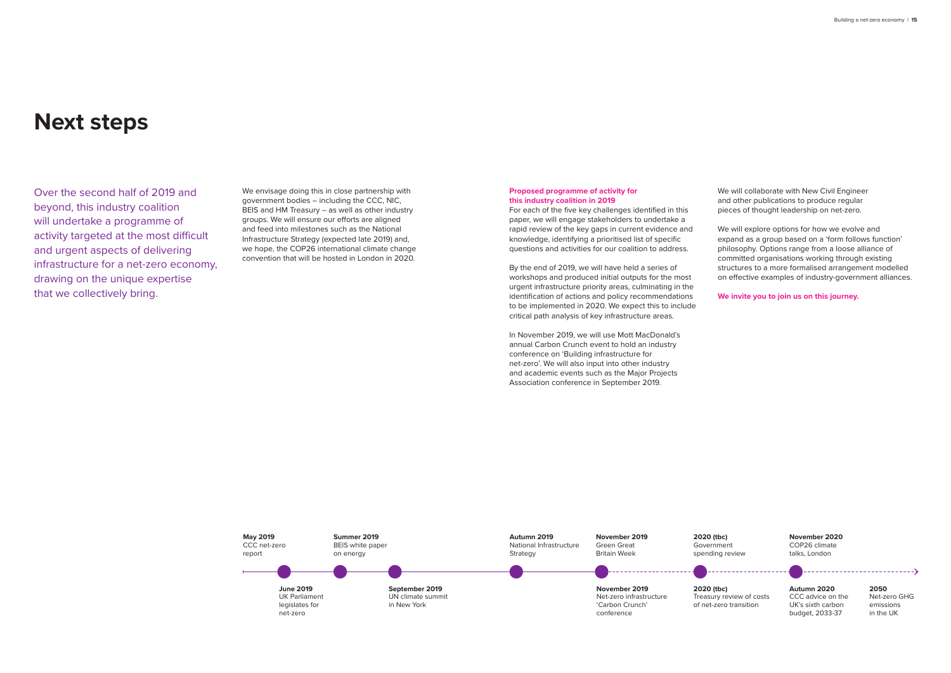Over the second half of 2019 and beyond, this industry coalition will undertake a programme of activity targeted at the most difficult and urgent aspects of delivering infrastructure for a net-zero economy, drawing on the unique expertise that we collectively bring.

### **Next steps**

We envisage doing this in close partnership with government bodies – including the CCC, NIC, BEIS and HM Treasury – as well as other industry groups. We will ensure our efforts are aligned and feed into milestones such as the National Infrastructure Strategy (expected late 2019) and, we hope, the COP26 international climate change convention that will be hosted in London in 2020.

### **Proposed programme of activity for this industry coalition in 2019**

We will collaborate with New Civil Engineer and other publications to produce regular pieces of thought leadership on net-zero.

For each of the five key challenges identified in this paper, we will engage stakeholders to undertake a rapid review of the key gaps in current evidence and knowledge, identifying a prioritised list of specific questions and activities for our coalition to address.

By the end of 2019, we will have held a series of workshops and produced initial outputs for the most urgent infrastructure priority areas, culminating in the identification of actions and policy recommendations to be implemented in 2020. We expect this to include critical path analysis of key infrastructure areas.

In November 2019, we will use Mott MacDonald's annual Carbon Crunch event to hold an industry conference on 'Building infrastructure for net-zero'. We will also input into other industry and academic events such as the Major Projects Association conference in September 2019.

We will explore options for how we evolve and expand as a group based on a 'form follows function' philosophy. Options range from a loose alliance of committed organisations working through existing structures to a more formalised arrangement modelled on effective examples of industry-government alliances.

**We invite you to join us on this journey.** 



Treasury review of costs of net-zero transition

**November 2020** COP26 climate talks, London



**2050** Net-zero GHG emissions in the UK

**Autumn 2020** CCC advice on the UK's sixth carbon budget, 2033-37